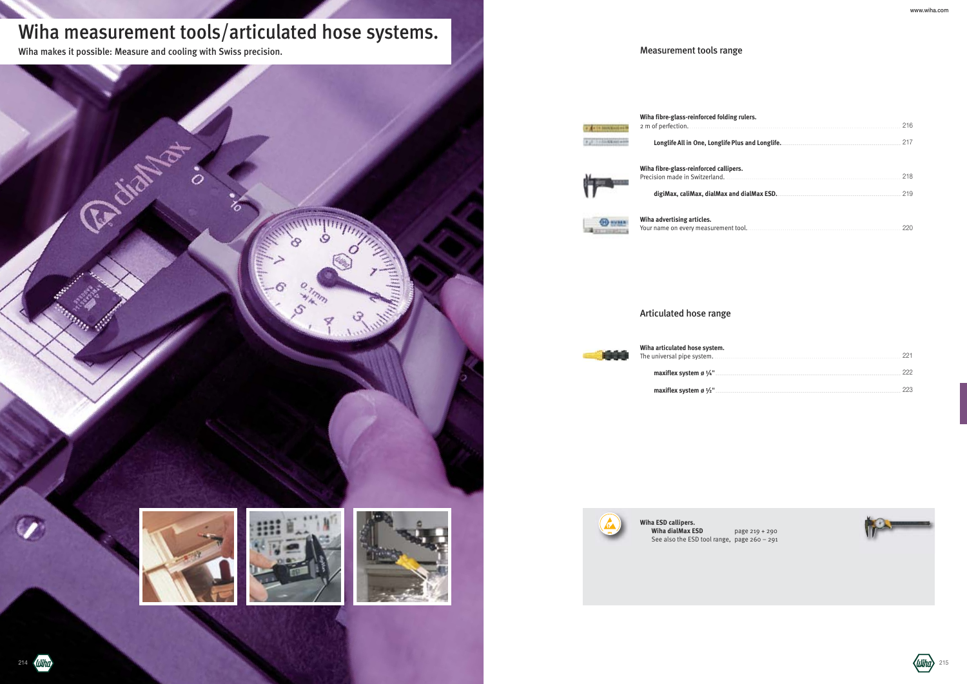# Wiha measurement tools/articulated hose systems.

**Wiha fibre-glass-reinforced folding rulers.** 2 m of perfection.

Longlife All in One, Longlife



**Wiha fibre-glass-reinforced callip** Precision made in Switzerland.

digiMax, caliMax, dialMax a**.** 



Wiha makes it possible: Measure and cooling with Swiss precision.

**CENTER SERVICE** 

| iig Tutels. | 216 |
|-------------|-----|
|             |     |
| ers.        |     |
|             |     |
|             |     |

|--|--|

**Wiha advertising articles.** Your name on every measuremen

**Wiha articulated hose system.** The universal pipe system.

maxiflex system ø  $1/4$ "

maxiflex system ø 1/2".













|  |  |  |  |  |  |  |  |  |  |  |  |  |  |  |  |  |  |  |  |  |  |  |  |  | 222 |  |
|--|--|--|--|--|--|--|--|--|--|--|--|--|--|--|--|--|--|--|--|--|--|--|--|--|-----|--|
|  |  |  |  |  |  |  |  |  |  |  |  |  |  |  |  |  |  |  |  |  |  |  |  |  |     |  |



## Articulated hose range





**Wiha ESD callipers. Wiha dialMax ESD** page 219 + 290 See also the ESD tool range, page 260 – 291

214 (Wiha)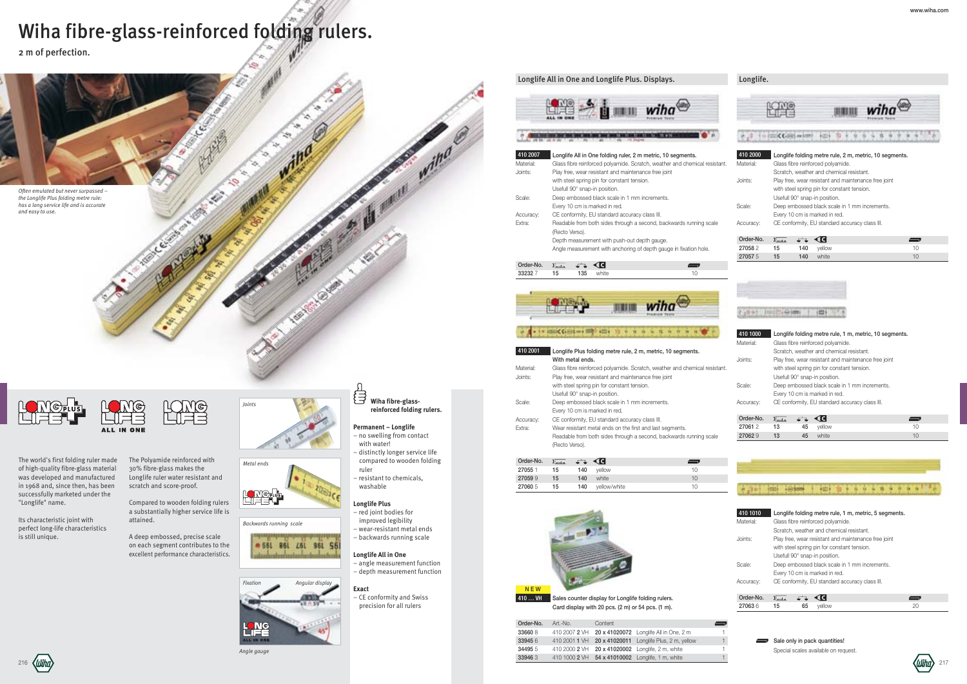# Wiha fibre-glass-reinforced folding rulers.

2 m of perfection.

**Permanent – Longlife**

- no swelling from contact with water!
- distinctly longer service life compared to wooden folding
- ruler
- resistant to chemicals, washable

#### **Longlife Plus**

- red joint bodies for improved legibility
- wear-resistant metal ends
- backwards running scale

## **Longlife All in One**

- angle measurement function – depth measurement function
- 



### *Angle gauge*





*Backwards running scale*









The Polyamide reinforced with 30% fibre-glass makes the Longlife ruler water resistant and scratch and score-proof.

Compared to wooden folding rulers a substantially higher service life is attained.

A deep embossed, precise scale on each segment contributes to the excellent performance characteristics.



The world's first folding ruler made of high-quality fibre-glass material was developed and manufactured in 1968 and, since then, has been successfully marketed under the "Longlife" name.

Its characteristic joint with perfect long-life characteristics is still unique.

## Longlife All in One and Longlife Plus. Displays.

|                           |                  | Order-No. Art.-No.<br>Content                                                                        |  |
|---------------------------|------------------|------------------------------------------------------------------------------------------------------|--|
|                           | <b>AQNG</b>      | 410 2007 2 VH 20 x 41020072 Longlife All in One, 2 m<br>336608                                       |  |
|                           | <b>LL IN ONE</b> | 410 2001 1 VH 20 x 41020011 Longlife Plus, 2 m, yellow<br>Sale only in pack quantities!<br>339456    |  |
|                           | Angle gauge      | 410 2000 2 VH 20 x 41020002 Longlife, 2 m, white<br>344955<br>Special scales available on request.   |  |
| $\langle$ ( <i>lihn</i> ) |                  | 410 1000 2 VH 54 x 41010002 Longlife, 1 m, white<br>33946<br>$\langle$ ( <i>lilihn</i> $\rangle$ 217 |  |



**ALL IN ONE** 





## . IT ISSUE CARDS IN 1999 ACTS 10 P W W W W W W W W W W Y

| 410 2001  | Longlife Plus folding metre rule, 2 m, metric, 10 segments.                |  |  |  |  |  |  |  |
|-----------|----------------------------------------------------------------------------|--|--|--|--|--|--|--|
|           | With metal ends.                                                           |  |  |  |  |  |  |  |
| Material: | Glass fibre reinforced polyamide. Scratch, weather and chemical resistant. |  |  |  |  |  |  |  |
| Joints:   | Play free, wear resistant and maintenance free joint                       |  |  |  |  |  |  |  |
|           | with steel spring pin for constant tension.                                |  |  |  |  |  |  |  |
|           | Usefull 90° snap-in position.                                              |  |  |  |  |  |  |  |
| Scale:    | Deep embossed black scale in 1 mm increments.                              |  |  |  |  |  |  |  |
|           | Every 10 cm is marked in red.                                              |  |  |  |  |  |  |  |
| Accuracy: | CE conformity, EU standard accuracy class III.                             |  |  |  |  |  |  |  |
| Extra:    | Wear resistant metal ends on the first and last segments.                  |  |  |  |  |  |  |  |
|           | Readable from both sides through a second, backwards running scale         |  |  |  |  |  |  |  |
|           | (Recto Verso).                                                             |  |  |  |  |  |  |  |
|           |                                                                            |  |  |  |  |  |  |  |
| Order-No. | . ، ، ، ، ، ا                                                              |  |  |  |  |  |  |  |
|           |                                                                            |  |  |  |  |  |  |  |

| Order-No. | ⊺ատ | $\sqrt{2}$ |              |    |
|-----------|-----|------------|--------------|----|
| 270551    | 15  | 140        | vellow       | 10 |
| 270599    | 15  | 140        | white        | 10 |
| 27060 5   | 15  | 140        | yellow/white | 10 |



### Longlife.

| 410 2000<br>Material: |       |     | Glass fibre reinforced polyamide.<br>Scratch, weather and chemical resistant.                                                        | Longlife folding metre rule, 2 m, metric, 10 segments. |  |
|-----------------------|-------|-----|--------------------------------------------------------------------------------------------------------------------------------------|--------------------------------------------------------|--|
| Joints:               |       |     | Play free, wear resistant and maintenance free joint<br>with steel spring pin for constant tension.<br>Usefull 90° snap-in position. |                                                        |  |
| Scale:                |       |     | Deep embossed black scale in 1 mm increments.<br>Every 10 cm is marked in red.                                                       |                                                        |  |
| Accuracy:             |       |     | CE conformity, EU standard accuracy class III.                                                                                       |                                                        |  |
| Order-No.             | ـىسىڭ |     | C                                                                                                                                    |                                                        |  |
| 270582                | 15    | 140 | vellow                                                                                                                               | 10                                                     |  |
| 270575                | 15    | 140 | white                                                                                                                                | 10                                                     |  |

### 7,8% | 100 C-0100 | (D)

N E W 410 … VH Sales counter display for Longlife folding rulers. Card display with 20 pcs. (2 m) or 54 pcs. (1 m).

| 410 1000  | Longlife folding metre rule, 1 m, metric, 10 segments. |  |  |  |  |  |  |  |
|-----------|--------------------------------------------------------|--|--|--|--|--|--|--|
| Material: | Glass fibre reinforced polyamide.                      |  |  |  |  |  |  |  |
|           | Scratch, weather and chemical resistant.               |  |  |  |  |  |  |  |
| Joints:   | Play free, wear resistant and maintenance free joint   |  |  |  |  |  |  |  |
|           | with steel spring pin for constant tension.            |  |  |  |  |  |  |  |
|           | Usefull 90° snap-in position.                          |  |  |  |  |  |  |  |
| Scale:    | Deep embossed black scale in 1 mm increments.          |  |  |  |  |  |  |  |
|           | Every 10 cm is marked in red.                          |  |  |  |  |  |  |  |
| Accuracy: | CE conformity, EU standard accuracy class III.         |  |  |  |  |  |  |  |
|           |                                                        |  |  |  |  |  |  |  |
| Order-No. | $t_{\rm max}$                                          |  |  |  |  |  |  |  |

## 27061 2 13 45 vellow 10 **27062 9 13 45** white 10



| 410 1010  |               |    | Longlife folding metre rule, 1 m, metric, 5 segments. |    |  |
|-----------|---------------|----|-------------------------------------------------------|----|--|
| Material: |               |    | Glass fibre reinforced polyamide.                     |    |  |
|           |               |    | Scratch, weather and chemical resistant.              |    |  |
| Joints:   |               |    | Play free, wear resistant and maintenance free joint  |    |  |
|           |               |    | with steel spring pin for constant tension.           |    |  |
|           |               |    | Usefull 90° snap-in position.                         |    |  |
| Scale:    |               |    | Deep embossed black scale in 1 mm increments.         |    |  |
|           |               |    | Every 10 cm is marked in red.                         |    |  |
| Accuracy: |               |    | CE conformity, EU standard accuracy class III.        |    |  |
|           |               |    |                                                       |    |  |
| Order-No. | $t_{\rm min}$ |    |                                                       |    |  |
| 270636    | 15            | 65 | vellow                                                | 20 |  |



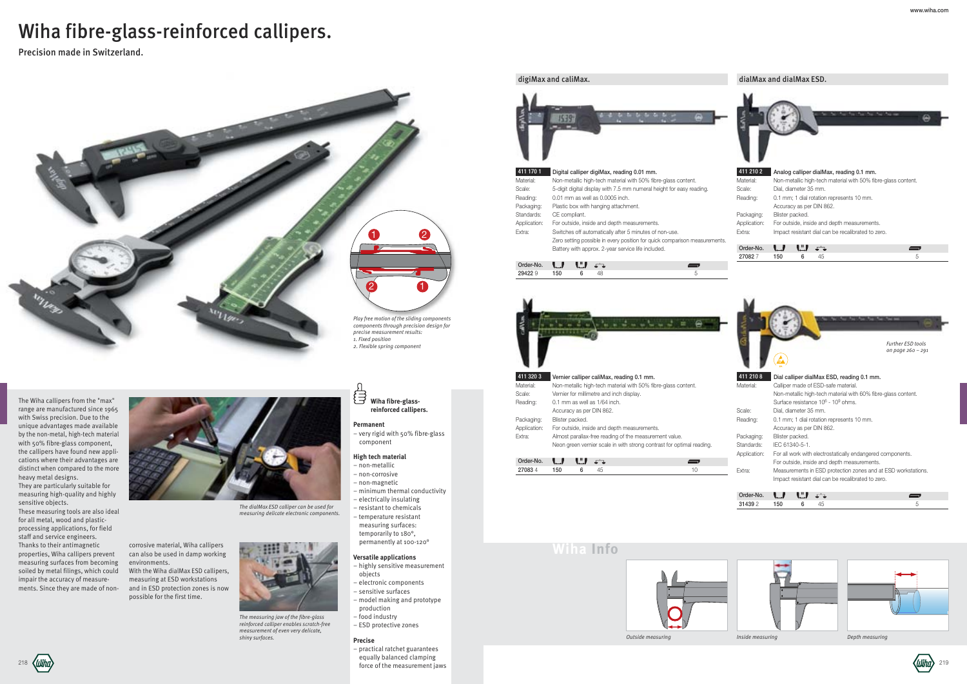## **Wiha Info**



*Outside measuring Inside measuring Depth measuring Depth measuring* 



# Wiha fibre-glass-reinforced callipers.

Precision made in Switzerland.

**Wiha fibre-glassreinforced callipers.**

**Permanent**

d

– very rigid with 50% fibre-glass

component **High tech material**

#### – non-metallic – non-corrosive – non-magnetic – minimum thermal conductivity – electrically insulating

218  $\langle UUh\pi\rangle$   $\langle UUh\pi\rangle$  219 – practical ratchet guarantees equally balanced clamping force of the measurement jaws

– resistant to chemicals – temperature resistant measuring surfaces: temporarily to 180°,

## permanently at 100-120° **Versatile applications** – highly sensitive measurement objects

– electronic components – sensitive surfaces

– model making and prototype

- production
- food industry
- ESD protective zones

#### **Precise**

*The measuring jaw of the fibre-glass reinforced calliper enables scratch-free measurement of even very delicate, shiny surfaces.*

corrosive material, Wiha callipers can also be used in damp working environments. With the Wiha dialMax ESD callipers,



measuring at ESD workstations and in ESD protection zones is now possible for the first time.

*The dialMax ESD calliper can be used for measuring delicate electronic components.*



The Wiha callipers from the "max" range are manufactured since 1965 with Swiss precision. Due to the unique advantages made available by the non-metal, high-tech material with 50% fibre-glass component, the callipers have found new applications where their advantages are distinct when compared to the more heavy metal designs.

They are particularly suitable for measuring high-quality and highly sensitive objects.

These measuring tools are also ideal for all metal, wood and plasticprocessing applications, for field staff and service engineers. Thanks to their antimagnetic properties, Wiha callipers prevent measuring surfaces from becoming soiled by metal filings, which could impair the accuracy of measurements. Since they are made of non-



digiMax and caliMax. 1539 411 170 1 Digital calliper digiMax, reading 0.01 mm. Material: Non-metallic high-tech material with 50% fibre-glass content. Scale: 5-digit digital display with 7.5 mm numeral height for easy reading. Reading: 0.01 mm as well as 0.0005 inch. Packaging: Plastic box with hanging attachment. Standards: CE compliant. Application: For outside, inside and depth measurements.

Extra: Switches off automatically after 5 minutes of non-use. Zero setting possible in every position for quick comparison measurements. Battery with approx. 2-year service life included.

| . .<br>៶←→ | $\blacksquare$ | - - |  |
|------------|----------------|-----|--|
| 50         |                |     |  |



| 411 320 3    |                                          |    | Vernier calliper caliMax, reading 0.1 mm.                             |    |
|--------------|------------------------------------------|----|-----------------------------------------------------------------------|----|
| Material:    |                                          |    | Non-metallic high-tech material with 50% fibre-glass content.         |    |
| Scale:       | Vernier for millimetre and inch display. |    |                                                                       |    |
| Reading:     | 0.1 mm as well as 1/64 inch.             |    |                                                                       |    |
|              | Accuracy as per DIN 862.                 |    |                                                                       |    |
| Packaging:   | Blister packed.                          |    |                                                                       |    |
| Application: |                                          |    | For outside, inside and depth measurements.                           |    |
| Extra:       |                                          |    | Almost parallax-free reading of the measurement value.                |    |
|              |                                          |    | Neon green vernier scale in with strong contrast for optimal reading. |    |
|              |                                          |    |                                                                       |    |
| Order-No.    | V.<br>L J.                               |    |                                                                       |    |
| 270834       | 150<br>6                                 | 45 |                                                                       | 10 |

### dialMax and dialMax ESD.

27082 7 150 6 45

| 411 210 2    | Analog calliper dialMax, reading 0.1 mm.                      |
|--------------|---------------------------------------------------------------|
| Material:    | Non-metallic high-tech material with 50% fibre-glass content. |
| Scale:       | Dial. diameter 35 mm.                                         |
| Reading:     | 0.1 mm; 1 dial rotation represents 10 mm.                     |
|              | Accuracy as per DIN 862.                                      |
| Packaging:   | Blister packed.                                               |
| Application: | For outside, inside and depth measurements.                   |
| Extra:       | Impact resistant dial can be recalibrated to zero.            |
| Order-No.    |                                                               |

| Material:    | Calliper made of ESD-safe material.                           |  |  |  |  |
|--------------|---------------------------------------------------------------|--|--|--|--|
|              | Non-metallic high-tech material with 60% fibre-glass content. |  |  |  |  |
|              | Surface resistance 10 <sup>6</sup> - 10 <sup>9</sup> ohms.    |  |  |  |  |
| Scale:       | Dial. diameter 35 mm.                                         |  |  |  |  |
| Reading:     | 0.1 mm; 1 dial rotation represents 10 mm.                     |  |  |  |  |
|              | Accuracy as per DIN 862.                                      |  |  |  |  |
| Packaging:   | Blister packed.                                               |  |  |  |  |
| Standards:   | IEC 61340-5-1.                                                |  |  |  |  |
| Application: | For all work with electrostatically endangered components.    |  |  |  |  |
|              | For outside, inside and depth measurements.                   |  |  |  |  |
| Extra:       | Measurements in ESD protection zones and at ESD workstations. |  |  |  |  |
|              | Impact resistant dial can be recalibrated to zero.            |  |  |  |  |
|              |                                                               |  |  |  |  |



| Order-No. | <b>ALLEY AND</b> |  |  |
|-----------|------------------|--|--|
| 21439 V   |                  |  |  |





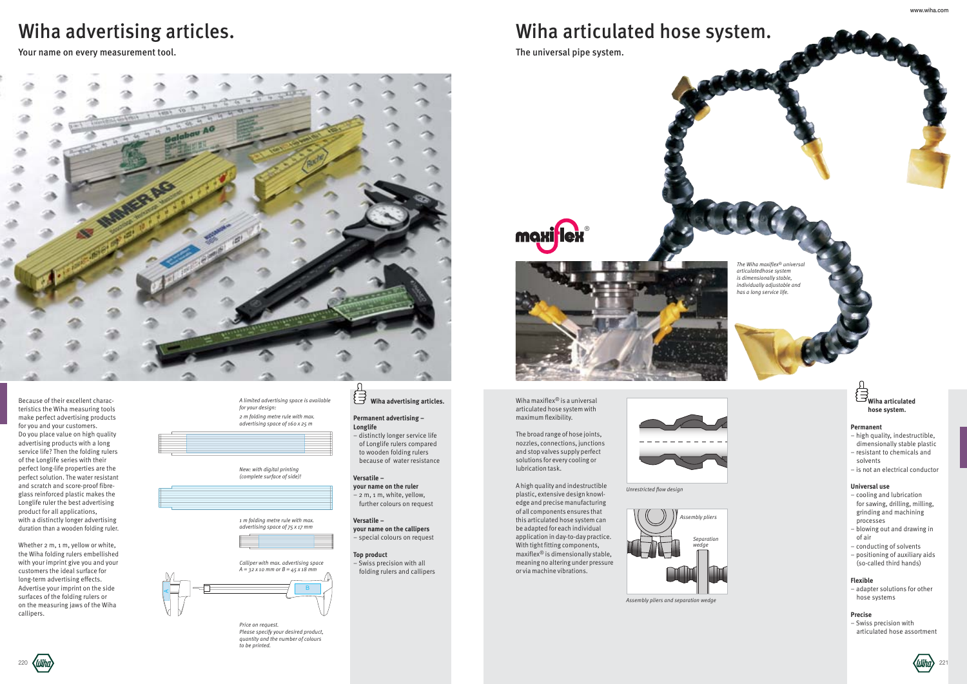

Wihn 220

# Wiha advertising articles.

#### **目 Wiha advertising articles.**

Your name on every measurement tool.

#### **Permanent advertising – Longlife**

– distinctly longer service life of Longlife rulers compared to wooden folding rulers because of water resistance

### **Versatile –**

- **your name on the ruler**
- 2 m, 1 m, white, yellow, further colours on request

## **Versatile –**

**your name on the callipers** – special colours on request

## **Top product**

– Swiss precision with all folding rulers and callipers

*1 m folding metre rule with max. advertising space of 75 x 17 mm*

*A limited advertising space is available for your design: 2 m folding metre rule with max.*

*advertising space of 160 x 25 m*



*New: with digital printing (complete surface of side)!*





*Price on request. Please specify your desired product, quantity and the number of colours to be printed.*

Because of their excellent characteristics the Wiha measuring tools make perfect advertising products for you and your customers. Do you place value on high quality advertising products with a long service life? Then the folding rulers of the Longlife series with their perfect long-life properties are the perfect solution. The water resistant and scratch and score-proof fibreglass reinforced plastic makes the Longlife ruler the best advertising product for all applications, with a distinctly longer advertising duration than a wooden folding ruler.

Whether 2 m, 1 m, yellow or white, the Wiha folding rulers embellished with your imprint give you and your customers the ideal surface for long-term advertising effects. Advertise your imprint on the side surfaces of the folding rulers or on the measuring jaws of the Wiha callipers.





# Wiha articulated hose system.

The universal pipe system.

*The Wiha maxiflex® universal articulatedhose system is dimensionally stable, individually adjustable and has a long service life.*

*Unrestricted flow design*

Wiha maxiflex® is a universal articulated hose system with maximum flexibility.

The broad range of hose joints, nozzles, connections, junctions and stop valves supply perfect solutions for every cooling or lubrication task.

A high quality and indestructible plastic, extensive design knowledge and precise manufacturing of all components ensures that this articulated hose system can be adapted for each individual application in day-to-day practice. With tight fitting components, maxiflex® is dimensionally stable, meaning no altering under pressure or via machine vibrations.



*Assembly pliers Separation wedge*

*Assembly pliers and separation wedge*



- **Permanent** – high quality, indestructible, dimensionally stable plastic
- resistant to chemicals and solvents
- is not an electrical conductor

#### **Universal use**

- cooling and lubrication for sawing, drilling, milling, grinding and machining processes
- blowing out and drawing in of air
- conducting of solvents
- positioning of auxiliary aids (so-called third hands)

#### **Flexible**

– adapter solutions for other hose systems

#### **Precise**

– Swiss precision with articulated hose assortment